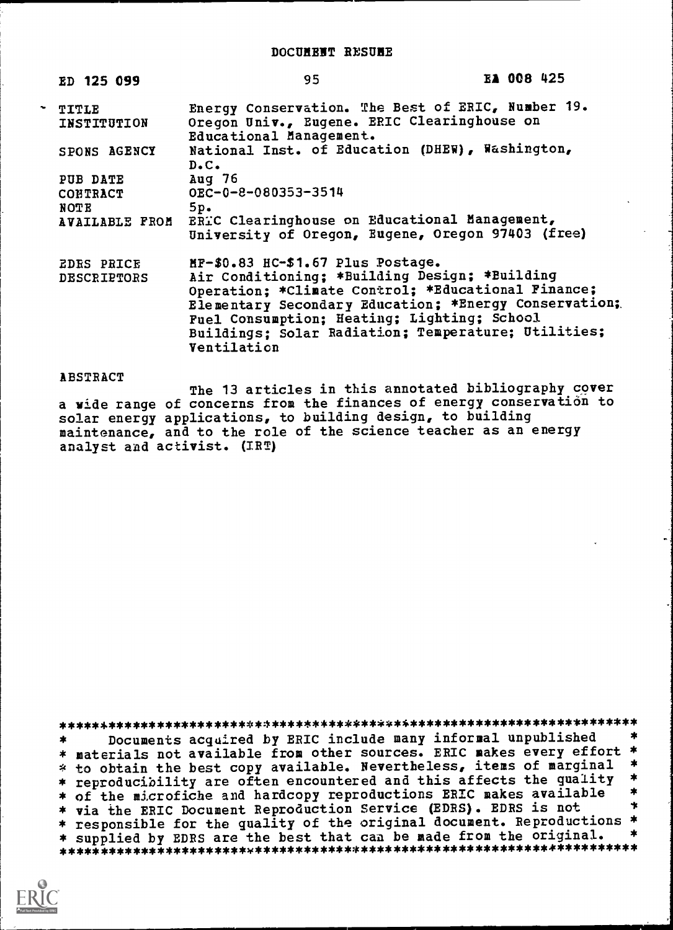| ED 125 099                       | 95                                                                                                                                                                                                                                                                                                                     | EA 008 425 |
|----------------------------------|------------------------------------------------------------------------------------------------------------------------------------------------------------------------------------------------------------------------------------------------------------------------------------------------------------------------|------------|
| TITLE<br>INSTITUTION             | Energy Conservation. The Best of ERIC, Number 19.<br>Oregon Univ., Eugene. ERIC Clearinghouse on<br>Educational Management.                                                                                                                                                                                            |            |
| SPONS AGENCY                     | National Inst. of Education (DHEW), Washington,<br>$D \cdot C \cdot$                                                                                                                                                                                                                                                   |            |
| PUB DATE<br>CONTRACT<br>NOTE     | Aug 76<br>OEC-0-8-080353-3514<br>5p.<br>AVAILABLE FROM ERIC Clearinghouse on Educational Management,<br>University of Oregon, Eugene, Oregon 97403 (free)                                                                                                                                                              |            |
| <b>EDRS PRICE</b><br>DESCRIPTORS | MF-\$0.83 HC-\$1.67 Plus Postage.<br>Air Conditioning; *Building Design; *Building<br>Operation; *Climate Control; *Educational Finance;<br>Elementary Secondary Education; *Energy Conservation;<br>Fuel Consumption; Heating; Lighting; School<br>Buildings; Solar Radiation; Temperature; Utilities;<br>Ventilation |            |

## **ABSTRACT**

The 13 articles in this annotated bibliography cover a wide range of concerns from the finances of energy conservation to solar energy applications, to building design, to building maintenance, and to the role of the science teacher as an energy analyst and activist. (IRT)

Documents acquired by ERIC include many informal unpublished  $\star$ \* materials not available from other sources. ERIC makes every effort \* \* to obtain the best copy available. Nevertheless, items of marginal \* \* reproducibility are often encountered and this affects the quality \* \* of the microfiche and hardcopy reproductions ERIC makes available  $\ddagger$ \* via the ERIC Document Reproduction Service (EDRS). EDRS is not ÷ \* responsible for the quality of the original document. Reproductions \* \* supplied by EDRS are the best that can be made from the original.  $\star$ 

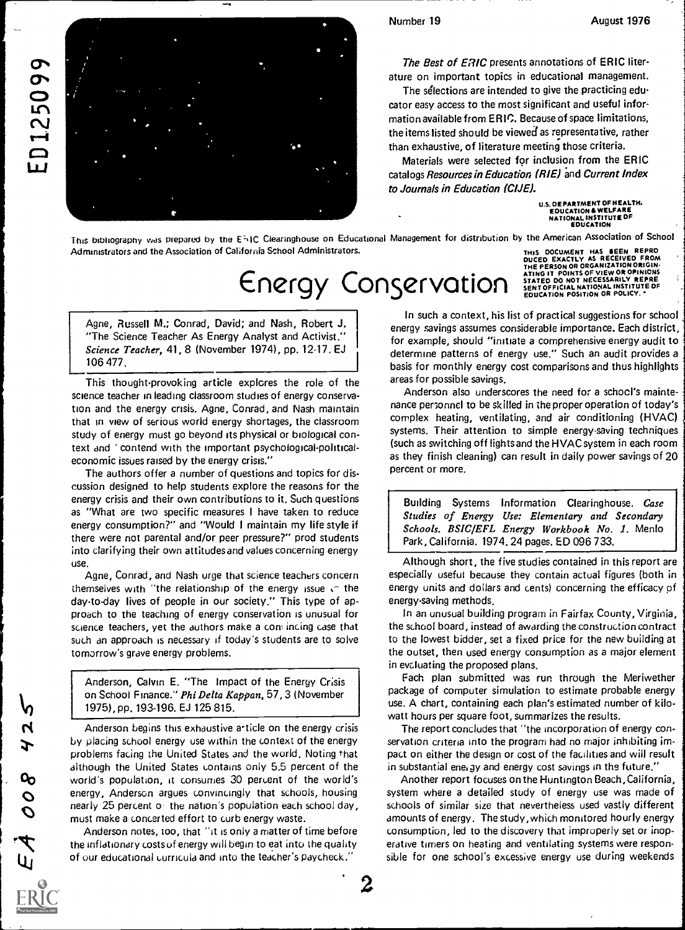ED125099



The Best of ERIC presents annotations of ERIC literature on important topics in educational management.

The selections are intended to give the practicing educator easy access to the most significant and useful information available from ERIC. Because of space limitations, the items listed should be viewed as representative, rather than exhaustive, of literature meeting those criteria.

Materials were selected for inclusion from the ERIC catalogs Resources in Education (RIE) and Current Index to Journals in Education (CIJE).

> U.S DEPARTMENT OF HEALTH, EDUCATION & WELFARE<br>NATIONAL INSTITUTE OF<br>EDUCATION

This bibliography was prepared by the E=(IC Clearinghouse on Educational Management for distribution by the American Association of School Administrators and the Association of California School Administrators. THIS DOCUMENT HAS SEEN REPRO

## Energy Conservation

Agne, Russell M.; Conrad, David; and Nash, Robert J. "The Science Teacher As Energy Analyst and Activist." Science Teacher, 41, 8 (November 1974), pp. 12-17. EJ 106 477.

This thought-provoking article explores the role of the science teacher in leading classroom studies of energy conservation and the energy crisis. Agne, Conrad, and Nash maintain that in view of serious world energy shortages, the classroom study of energy must go beyond its physical or biological context and ' contend with the important psychological-politicaleconomic issues raised by the energy crisis."

The authors offer a number of questions and topics for discussion designed to help students explore the reasons for the energy crisis and their own contributions to it. Such questions | Building Systems as "What are two specific measures I have taken to reduce energy consumption?" and "Would I maintain my life style if there were not parental and/or peer pressure?" prod students into clarifying their own attitudes and values concerning energy use.

Agne, Conrad, and Nash urge that science teachers concern themselves with "the relationship of the energy issue  $\sqrt{ }$  the day-to-day lives of people in our society." This type of approach to the teaching of energy conservation is unusual for science teachers, yet the authors make a con incing case that such an approach is necessary if today's students are to solve tomorrow's grave energy problems.

Anderson, Calvin E. "The Impact of the Energy Crisis on School Finance." Phi Delta Kappan, 57, 3 (November 1975), pp. 193-196. EJ 125 815.

Anderson begins this exhaustive article on the energy crisis by placing school energy use within the context of the energy problems facing the United States and the world. Noting that although the United States contains only 5.5 percent of the world's population, it consumes 30 percent of the world's energy, Anderson argues convincingly that schools, housing nearly 25 percent of the nation's population each school day, must make a concerted effort to curb energy waste.

Anderson notes, too, that "it is only a matter of time before the inflationary costs uf energy will begin to eat into the quality of our educational curricula and into the teacher's paycheck."

DUCED EXACTLY AS RECEIVED FROM THE PERSON OR ORGANIZATION ORIGIN.<br>ATING IT POINTS OF VIEW OR OPINIONS<br>STATED DO NOT NECESSARILY REPRE EDUCATION POSITION OR POLICY.

In such a context, his list of practical suggestions for school energy savings assumes considerable importance. Each district, for example, should "initiate a comprehensive energy audit to determine patterns of energy use." Such an audit provides a basis for monthly energy cost comparisons and thus highlights areas for possible savings.

Anderson also underscores the need for a school's maintenance personnel to be skilled in the proper operation of today's complex heating, ventilating, and air conditioning (HVAC) systems. Their attention to simple energy-saving techniques (such as switching off lights and the HVAC system in each room as they finish cleaning) can result in daily power savings of 20 percent or more.

Information Clearinghouse. Case Studies of Energy Use: Elementary and Secondary Schools. BSIC/EFL Energy Workbook No. 1. Menlo Park, California. 1974. 24 pages. ED 096 733.

Although short, the five studies contained in this report are especially useful because they contain actual figures (both in energy units and dollars and cents) concerning the efficacy of energy-saving methods.

In an unusual building program in Fairfax County, Virginia, the school board, instead of awarding the construction contract to the lowest bidder, set a fixed price for the new building at the outset, then used energy consumption as a major element in evcluating the proposed plans.

Fach plan submitted was run through the Meriwether package of computer simulation to estimate probable energy use. A chart, containing each plan's estimated number of kilowatt hours per square foot, summarizes the results.

The report concludes that "the incorporation of energy conservation criteria into the program had no major inhibiting impact on either the design or cost of the facilities and will result in substantial energy and energy cost savings in the future."

Another report focuses on the Huntington Beach, California, system where a detailed study of energy use was made of schools of similar size that nevertheless used vastly different amounts of energy. The study, which monitored hourly energy consumption, led to the discovery that improperly set or inoperative timers on heating and ventilating systems were responsible for one school's excessive energy use during weekends

 $\boldsymbol{2}$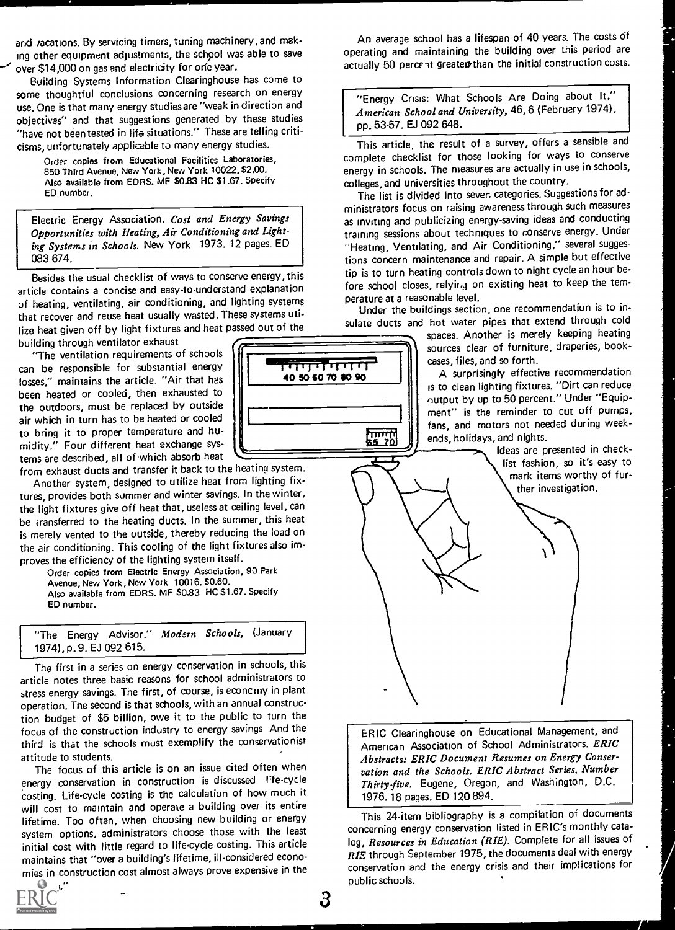and *r*acations. By servicing timers, tuning machinery, and making other equipment adjustments, the schpol was able to save over \$14,000 on gas and electricity for orfe year.

Building Systems Information Clearinghouse has come to some thoughtful conclusions concerning research on energy use. One is that many energy studies are "weak in direction and objectives" and that suggestions generated by these studies "have not been tested in life situations." These are telling criticisms, unfortunately applicable to many energy studies.

Order copies from Educational Facilities Laboratories, 850 Third Avenue, New York, New York 10022. \$2.00. Also available from EDRS. MF \$0.83 HC \$1.67. Specify ED number.

Electric Energy Association. Cost and Energy Savings Opportunities with Heating, Air Conditioning and Lighting Systems in Schools. New York 1973. 12 pages. ED 083 674.

Besides the usual checklist of ways to conserve energy, this article contains a concise and easy-to-understand explanation of heating, ventilating, air conditioning, and lighting systems that recover and reuse heat usually wasted. These systems utilize heat given off by light fixtures and heat passed out of the

building through ventilator exhaust "The ventilation requirements of schools can be responsible for substantial energy losses," maintains the article. "Air that has been heated or cooled, then exhausted to the outdoors, must be replaced by outside air which in turn has to be heated or cooled to bring it to proper temperature and hu-<br>midity." Four different heat exchange systems are described, all of which absorb heat

from exhaust ducts and transfer it back to the heating system.

Another system, designed to utilize heat from lighting fixtures, provides both summer and winter savings. In the winter, the light fixtures give off heat that, useless at ceiling level, can be transferred to the heating ducts. In the summer, this heat is merely vented to the outside, thereby reducing the load on the air conditioning. This cooling of the light fixtures also improves the efficiency of the lighting system itself.

Order copies from Electric Energy Association, 90 Park Avenue, New York, New York 10016. \$0.60. Also available from EDRS. MF \$0.83 HC \$1.67. Specify ED number.

"The Energy Advisor." Modern Schools, (January 1974), p. 9. EJ 092 615.

The first in a series on energy conservation in schools, this article notes three basic reasons for school administrators to stress energy savings. The first, of course, is econcmy in plant operation. The second is that schools, with an annual construction budget of \$5 billion, owe it to the public to turn the focus of the construction industry to energy savings And the third is that the schools must exemplify the conservationist attitude to students.

The focus of this article is on an issue cited often when energy conservation in construction is discussed life-cycle costing. Life-cycle costing is the calculation of how much it will cost to maintain and operate a building over its entire lifetime. Too often, when choosing new building or energy system options, administrators choose those with the least initial cost with little regard to life-cycle costing. This article maintains that "over a building's lifetime, ill-considered economies in construction cost almost always prove expensive in the operating and maintaining the building over this period are actually 50 percent greater than the initial construction costs.

An average school has a lifespan of 40 years. The costs of

"Energy Crisis: What Schools Are Doing about It." American School and University, 46, 6 (February 1974), pp. 53-57. EJ 092 648.

t<br>This article, the result of a survey, offers a sensible and complete checklist for those looking for ways to conserve energy in schools. The measures are actually in use in schools, colleges, and universities throughout the country.

The list is divided into seven categories. Suggestions for administrators focus on raising awareness through such measures as inviting and publicizing energy-saving ideas and conducting training sessions about techniques to conserve energy. Under "Heating, Ventilating, and Air Conditioning," several suggestions concern maintenance and repair. A simple but effective tip is to turn heating controls down to night cycle an hour before school closes, relyir.g on existing heat to keep the temperature at a reasonable level.

Under the buildings section, one recommendation is to in-

sulate ducts and hot water pipes that extend through cold<br> *spaces.* Another is merely keeping heating<br>
sources clear of furniture, draperies, bookspaces. Another is merely keeping heating sources clear of furniture, draperies, bookcases, files, and so forth.

A surprisingly effective recommendation is to clean lighting fixtures. "Dirt can reduce output by up to 50 percent." Under "Equipment" is the reminder to cut off pumps,  $f$  |  $\parallel$  fans, and motors not needed during weekends, holidays, and nights.

> Ideas are presented in checklist fashion, so it's easy to mark items worthy of further investigation.

ERIC Clearinghouse on Educational Management, and American Association of School Administrators. ERIC Abstracts: ERIC Document Resumes on Energy Conservation and the Schools. ERIC Abstract Series, Number Thirty-five. Eugene, Oregon, and Washington, D.C. 1976. 18 pages. ED 120 894.

This 24-item bibliography is a compilation of documents concerning energy conservation listed in ER IC's monthly catalog, Resources in Education (RIE), Complete for all issues of RIE through September 1975, the documents deal with energy conservation and the energy crisis and their implications for public schools.

 $\mathbf{a}$ 



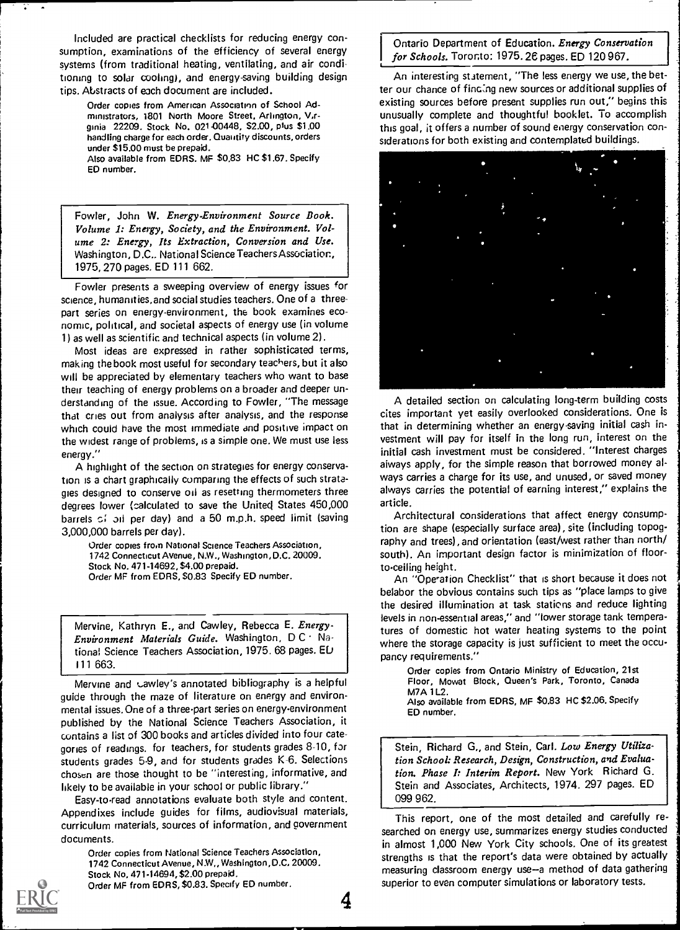Included are practical checklists for reducing energy consumption, examinations of the efficiency of several energy systems (from traditional heating, ventilating, and air conditioning to solar cooling), and energy-saving building design tips. Abstracts of each document are included.

Order copies from American Association of School Administrators, 1801 North Moore Street, Arlington, V.rginia 22209. Stock No. 021-00448, \$2.00, plus \$1.00 handling charge for each order. Quantity discounts, orders under \$15.00 must be prepaid. Also available from EDRS. MF \$0.83 HC \$1.67. Specify ED number.

Fowler, John W. Energy-Environment Source Book. Volume 1: Energy, Society, and the Environment. Volume 2: Energy, Its Extraction, Conversion and Use. Washington, D.C.. National Science Teachers Association, 1975, 270 pages. ED 111 662.

Fowler presents a sweeping overview of energy issues for science, humanities, and social studies teachers. One of a threepart series on energy-environment, the book examines economic, political, and societal aspects of energy use (in volume 1) as well as scientific and technical aspects (in volume 2).

Most ideas are expressed in rather sophisticated terms, making the book most useful for secondary teachers, but it also will be appreciated by elementary teachers who want to base their teaching of energy problems on a broader and deeper understanding of the issue. According to Fowler, "The message that cries out from analysis after analysis, and the response which could have the most immediate and positive impact on the widest range of problems, is a simple one. We must use less energy."

A highlight of the section on strategies for energy conservation is a chart graphically comparing the effects of such strategies designed to conserve oil as resetting thermometers three degrees lower (calculated to save the United( States 450,000 barrels of oil per day) and a 50 m.p.h. speed limit (saving 3,000,000 barrels per day).

Order copies from National Science Teachers Association, 1742 Connecticut Avenue, N.W., Washington, D.C. 20009. Stock No. 471-14692, \$4.00 prepaid. Order MF from EDRS, \$0.83 Specify ED number.

Mervine, Kathryn E., and Cawley, Rebecca E. Energy-Environment Materials Guide. Washington,  $DC \cdot Na$ tional Science Teachers Association, 1975. 68 pages. ED I 11 663.

Mervine and cawley's annotated bibliography is a helpful guide through the maze of literature on energy and environmental issues. One of a three-part series on energy-environment published by the National Science Teachers Association, it contains a list of 300 books and articles divided into four categories of readings, for teachers, for students grades 8-10, for students grades 5-9, and for students grades K-6. Selections chosen are those thought to be "interesting, informative, and likely to be available in your school or public library."

Easy-toread annotations evaluate both style and content. Appendixes include guides for films, audiovisual materials, curriculum materials, sources of information, and government documents.

Order copies from National Science Teachers Association, 1742 Connecticut Avenue, N.W., Washington, D.C. 20009. Stock No, 471-14694, \$2.00 prepaid. Order MF from EDRS, \$0.83. Specify ED number.

Ontario Department of Education. Energy Conservation for Schools. Toronto: 1975. 26 pages. ED 120 967.

An interesting statement, "The less energy we use, the better our chance of finc:ng new sources or additional supplies of existing sources before present supplies run out," begins this unusually complete and thoughtful booklet. To accomplish this goal, it offers a number of sound energy conservation considerations for both existing and contemplated buildings.



A detailed section on calculating long-term building costs cites important yet easily overlooked considerations. One is that in determining whether an energy-saving initial cash investment will pay for itself in the long run, interest on the initial cash investment must be considered. "Interest charges always apply, for the simple reason that borrowed money always carries a charge for its use, and unused, or saved money always carries the potential of earning interest," explains the article.

Architectural considerations that affect energy consumption are shape (especially surface area), site (including topography and trees), and orientation (east/west rather than north/ south). An important design factor is minimization of floorto-ceiling height.

An "Operation Checklist" that is short because it does not belabor the obvious contains such tips as "place lamps to give the desired illumination at task stations and reduce lighting levels in non-essential areas," and "lower storage tank temperatures of domestic hot water heating systems to the point where the storage capacity is just sufficient to meet the occupancy requirements."

Order copies from Ontario Ministry of Education, 21st Floor, Mowat Block, Queen's Park, Toronto, Canada **M7A 1L2.** Also available from EDRS, MF \$0.83 HC \$2.06. Specify ED number.

Stein, Richard G., and Stein, Carl. Low Energy Utilization School: Research, Design, Construction, and Evaluation. Phase I: Interim Report. New York Richard G. Stein and Associates, Architects, 1974. 297 pages. ED 099 962.

This report, one of the most detailed and carefully re searched on energy use, summarizes energy studies conducted in almost 1,000 New York City schools. One of its greatest strengths is that the report's data were obtained by actually measuring classroom energy use-a method of data gathering superior to even computer simulations or laboratory tests.

4



4.